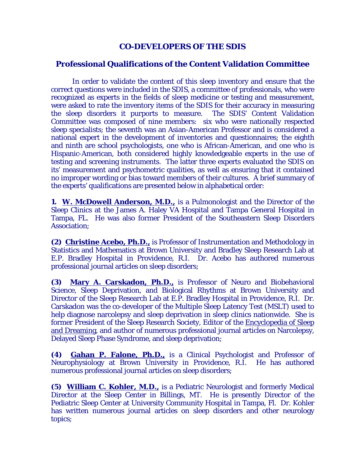## **CO-DEVELOPERS OF THE SDIS**

## **Professional Qualifications of the Content Validation Committee**

 In order to validate the content of this sleep inventory and ensure that the correct questions were included in the SDIS, a committee of professionals, who were recognized as experts in the fields of sleep medicine or testing and measurement, were asked to rate the inventory items of the SDIS for their accuracy in measuring the sleep disorders it purports to measure. The SDIS' Content Validation Committee was composed of nine members: six who were nationally respected sleep specialists; the seventh was an Asian-American Professor and is considered a national expert in the development of inventories and questionnaires; the eighth and ninth are school psychologists, one who is African-American, and one who is Hispanic-American, both considered highly knowledgeable experts in the use of testing and screening instruments. The latter three experts evaluated the SDIS on its' measurement and psychometric qualities, as well as ensuring that it contained no improper wording or bias toward members of their cultures. A brief summary of the experts' qualifications are presented below in alphabetical order:

**1. W. McDowell Anderson, M.D.,** is a Pulmonologist and the Director of the Sleep Clinics at the James A. Haley VA Hospital and Tampa General Hospital in Tampa, FL. He was also former President of the Southeastern Sleep Disorders Association;

**(2) Christine Acebo, Ph.D.,** is Professor of Instrumentation and Methodology in Statistics and Mathematics at Brown University and Bradley Sleep Research Lab at E.P. Bradley Hospital in Providence, R.I. Dr. Acebo has authored numerous professional journal articles on sleep disorders;

**(3) Mary A. Carskadon, Ph.D.,** is Professor of Neuro and Biobehavioral Science, Sleep Deprivation, and Biological Rhythms at Brown University and Director of the Sleep Research Lab at E.P. Bradley Hospital in Providence, R.I. Dr. Carskadon was the co-developer of the Multiple Sleep Latency Test (MSLT) used to help diagnose narcolepsy and sleep deprivation in sleep clinics nationwide. She is former President of the Sleep Research Society, Editor of the Encyclopedia of Sleep and Dreaming, and author of numerous professional journal articles on Narcolepsy, Delayed Sleep Phase Syndrome, and sleep deprivation;

**(4) Gahan P. Falone, Ph.D.,** is a Clinical Psychologist and Professor of Neurophysiology at Brown University in Providence, R.I. He has authored numerous professional journal articles on sleep disorders;

**(5) William C. Kohler, M.D.,** is a Pediatric Neurologist and formerly Medical Director at the Sleep Center in Billings, MT. He is presently Director of the Pediatric Sleep Center at University Community Hospital in Tampa, Fl. Dr. Kohler has written numerous journal articles on sleep disorders and other neurology topics;